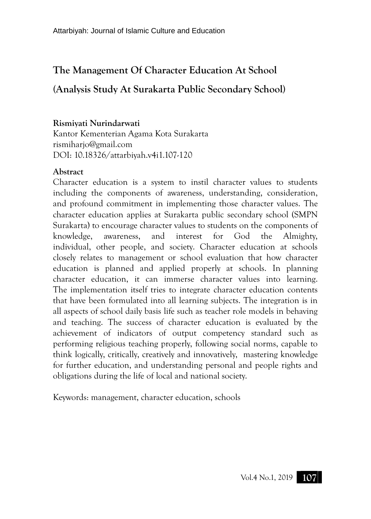# **The Management Of Character Education At School (Analysis Study At Surakarta Public Secondary School)**

# **Rismiyati Nurindarwati**

Kantor Kementerian Agama Kota Surakarta rismiharjo@gmail.com DOI: 10.18326/attarbiyah.v4i1.107-120

# **Abstract**

Character education is a system to instil character values to students including the components of awareness, understanding, consideration, and profound commitment in implementing those character values. The character education applies at Surakarta public secondary school (SMPN Surakarta) to encourage character values to students on the components of knowledge, awareness, and interest for God the Almighty, individual, other people, and society. Character education at schools closely relates to management or school evaluation that how character education is planned and applied properly at schools. In planning character education, it can immerse character values into learning. The implementation itself tries to integrate character education contents that have been formulated into all learning subjects. The integration is in all aspects of school daily basis life such as teacher role models in behaving and teaching. The success of character education is evaluated by the achievement of indicators of output competency standard such as performing religious teaching properly, following social norms, capable to think logically, critically, creatively and innovatively, mastering knowledge for further education, and understanding personal and people rights and obligations during the life of local and national society.

Keywords: management, character education, schools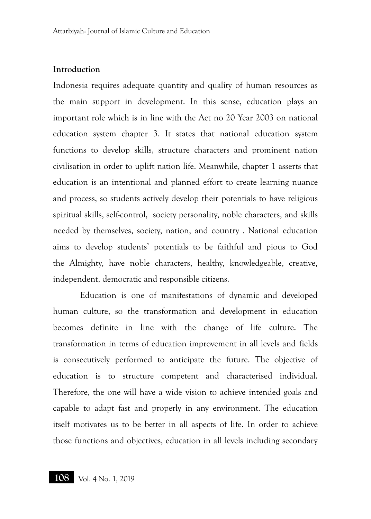#### **Introduction**

Indonesia requires adequate quantity and quality of human resources as the main support in development. In this sense, education plays an important role which is in line with the Act no 20 Year 2003 on national education system chapter 3. It states that national education system functions to develop skills, structure characters and prominent nation civilisation in order to uplift nation life. Meanwhile, chapter 1 asserts that education is an intentional and planned effort to create learning nuance and process, so students actively develop their potentials to have religious spiritual skills, self-control, society personality, noble characters, and skills needed by themselves, society, nation, and country . National education aims to develop students' potentials to be faithful and pious to God the Almighty, have noble characters, healthy, knowledgeable, creative, independent, democratic and responsible citizens.

Education is one of manifestations of dynamic and developed human culture, so the transformation and development in education becomes definite in line with the change of life culture. The transformation in terms of education improvement in all levels and fields is consecutively performed to anticipate the future. The objective of education is to structure competent and characterised individual. Therefore, the one will have a wide vision to achieve intended goals and capable to adapt fast and properly in any environment. The education itself motivates us to be better in all aspects of life. In order to achieve those functions and objectives, education in all levels including secondary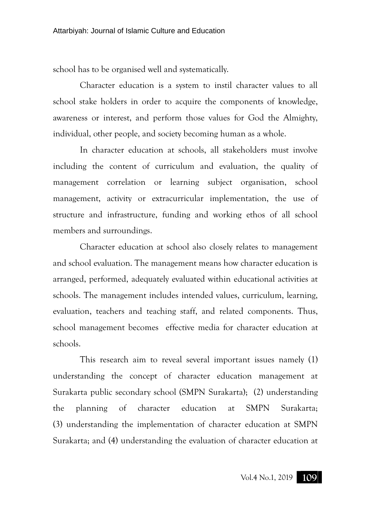school has to be organised well and systematically.

Character education is a system to instil character values to all school stake holders in order to acquire the components of knowledge, awareness or interest, and perform those values for God the Almighty, individual, other people, and society becoming human as a whole.

In character education at schools, all stakeholders must involve including the content of curriculum and evaluation, the quality of management correlation or learning subject organisation, school management, activity or extracurricular implementation, the use of structure and infrastructure, funding and working ethos of all school members and surroundings.

Character education at school also closely relates to management and school evaluation. The management means how character education is arranged, performed, adequately evaluated within educational activities at schools. The management includes intended values, curriculum, learning, evaluation, teachers and teaching staff, and related components. Thus, school management becomes effective media for character education at schools.

This research aim to reveal several important issues namely (1) understanding the concept of character education management at Surakarta public secondary school (SMPN Surakarta); (2) understanding the planning of character education at SMPN Surakarta; (3) understanding the implementation of character education at SMPN Surakarta; and (4) understanding the evaluation of character education at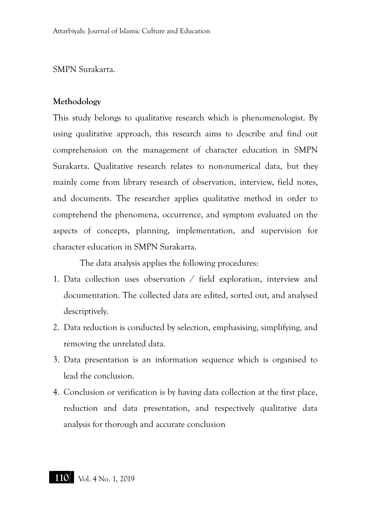## SMPN Surakarta.

#### **Methodology**

This study belongs to qualitative research which is phenomenologist. By using qualitative approach, this research aims to describe and find out comprehension on the management of character education in SMPN Surakarta. Qualitative research relates to non-numerical data, but they mainly come from library research of observation, interview, field notes, and documents. The researcher applies qualitative method in order to comprehend the phenomena, occurrence, and symptom evaluated on the aspects of concepts, planning, implementation, and supervision for character education in SMPN Surakarta.

The data analysis applies the following procedures:

- 1. Data collection uses observation / field exploration, interview and documentation. The collected data are edited, sorted out, and analysed descriptively.
- 2. Data reduction is conducted by selection, emphasising, simplifying, and removing the unrelated data.
- 3. Data presentation is an information sequence which is organised to lead the conclusion.
- 4. Conclusion or verification is by having data collection at the first place, reduction and data presentation, and respectively qualitative data analysis for thorough and accurate conclusion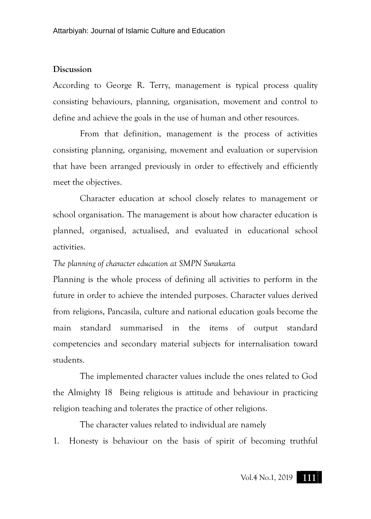#### **Discussion**

According to George R. Terry, management is typical process quality consisting behaviours, planning, organisation, movement and control to define and achieve the goals in the use of human and other resources.

From that definition, management is the process of activities consisting planning, organising, movement and evaluation or supervision that have been arranged previously in order to effectively and efficiently meet the objectives.

Character education at school closely relates to management or school organisation. The management is about how character education is planned, organised, actualised, and evaluated in educational school activities.

#### *The planning of character education at SMPN Surakarta*

Planning is the whole process of defining all activities to perform in the future in order to achieve the intended purposes. Character values derived from religions, Pancasila, culture and national education goals become the main standard summarised in the items of output standard competencies and secondary material subjects for internalisation toward students.

The implemented character values include the ones related to God the Almighty 18 Being religious is attitude and behaviour in practicing religion teaching and tolerates the practice of other religions.

The character values related to individual are namely

1. Honesty is behaviour on the basis of spirit of becoming truthful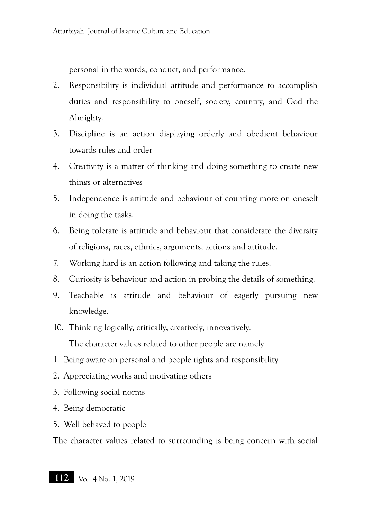personal in the words, conduct, and performance.

- 2. Responsibility is individual attitude and performance to accomplish duties and responsibility to oneself, society, country, and God the Almighty.
- 3. Discipline is an action displaying orderly and obedient behaviour towards rules and order
- 4. Creativity is a matter of thinking and doing something to create new things or alternatives
- 5. Independence is attitude and behaviour of counting more on oneself in doing the tasks.
- 6. Being tolerate is attitude and behaviour that considerate the diversity of religions, races, ethnics, arguments, actions and attitude.
- 7. Working hard is an action following and taking the rules.
- 8. Curiosity is behaviour and action in probing the details of something.
- 9. Teachable is attitude and behaviour of eagerly pursuing new knowledge.
- 10. Thinking logically, critically, creatively, innovatively. The character values related to other people are namely
- 1. Being aware on personal and people rights and responsibility
- 2. Appreciating works and motivating others
- 3. Following social norms
- 4. Being democratic
- 5. Well behaved to people

The character values related to surrounding is being concern with social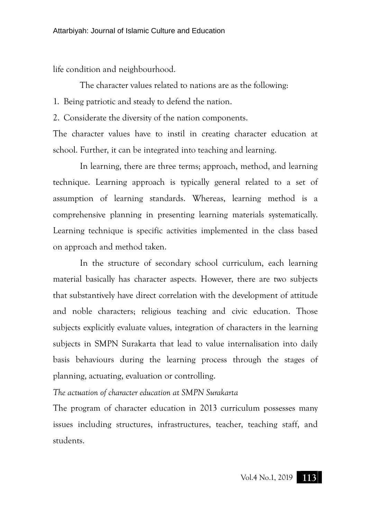life condition and neighbourhood.

The character values related to nations are as the following:

1. Being patriotic and steady to defend the nation.

2. Considerate the diversity of the nation components.

The character values have to instil in creating character education at school. Further, it can be integrated into teaching and learning.

In learning, there are three terms; approach, method, and learning technique. Learning approach is typically general related to a set of assumption of learning standards. Whereas, learning method is a comprehensive planning in presenting learning materials systematically. Learning technique is specific activities implemented in the class based on approach and method taken.

In the structure of secondary school curriculum, each learning material basically has character aspects. However, there are two subjects that substantively have direct correlation with the development of attitude and noble characters; religious teaching and civic education. Those subjects explicitly evaluate values, integration of characters in the learning subjects in SMPN Surakarta that lead to value internalisation into daily basis behaviours during the learning process through the stages of planning, actuating, evaluation or controlling.

*The actuation of character education at SMPN Surakarta*

The program of character education in 2013 curriculum possesses many issues including structures, infrastructures, teacher, teaching staff, and students.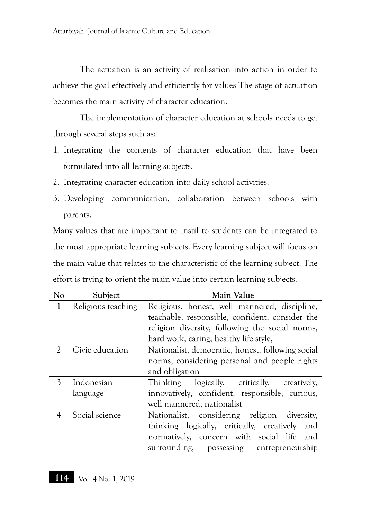The actuation is an activity of realisation into action in order to achieve the goal effectively and efficiently for values The stage of actuation becomes the main activity of character education.

The implementation of character education at schools needs to get through several steps such as:

- 1. Integrating the contents of character education that have been formulated into all learning subjects.
- 2. Integrating character education into daily school activities.
- 3. Developing communication, collaboration between schools with parents.

Many values that are important to instil to students can be integrated to the most appropriate learning subjects. Every learning subject will focus on the main value that relates to the characteristic of the learning subject. The effort is trying to orient the main value into certain learning subjects.

| $\rm No$      | Subject            | <b>Main Value</b>                                 |
|---------------|--------------------|---------------------------------------------------|
| 1             | Religious teaching | Religious, honest, well mannered, discipline,     |
|               |                    | teachable, responsible, confident, consider the   |
|               |                    | religion diversity, following the social norms,   |
|               |                    | hard work, caring, healthy life style,            |
| $\mathcal{L}$ | Civic education    | Nationalist, democratic, honest, following social |
|               |                    | norms, considering personal and people rights     |
|               |                    | and obligation                                    |
| 3             | Indonesian         | Thinking logically, critically,<br>creatively,    |
|               | language           | innovatively, confident, responsible, curious,    |
|               |                    | well mannered, nationalist                        |
| 4             | Social science     | Nationalist, considering religion diversity,      |
|               |                    | thinking logically, critically, creatively and    |
|               |                    | normatively, concern with social life and         |
|               |                    | surrounding, possessing entrepreneurship          |

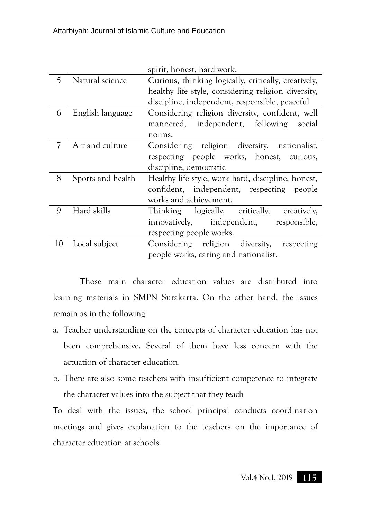|    |                   | spirit, honest, hard work.                           |
|----|-------------------|------------------------------------------------------|
| 5  | Natural science   | Curious, thinking logically, critically, creatively, |
|    |                   | healthy life style, considering religion diversity,  |
|    |                   | discipline, independent, responsible, peaceful       |
| 6  | English language  | Considering religion diversity, confident, well      |
|    |                   | mannered, independent, following<br>social           |
|    |                   | norms.                                               |
| 7  | Art and culture   | Considering religion diversity, nationalist,         |
|    |                   | respecting people works, honest, curious,            |
|    |                   | discipline, democratic                               |
| 8  | Sports and health | Healthy life style, work hard, discipline, honest,   |
|    |                   | confident, independent, respecting people            |
|    |                   | works and achievement.                               |
| 9  | Hard skills       | Thinking logically, critically, creatively,          |
|    |                   | innovatively, independent, responsible,              |
|    |                   | respecting people works.                             |
| 10 | Local subject     | Considering religion diversity, respecting           |
|    |                   | people works, caring and nationalist.                |

Those main character education values are distributed into learning materials in SMPN Surakarta. On the other hand, the issues remain as in the following

- a. Teacher understanding on the concepts of character education has not been comprehensive. Several of them have less concern with the actuation of character education.
- b. There are also some teachers with insufficient competence to integrate the character values into the subject that they teach

To deal with the issues, the school principal conducts coordination meetings and gives explanation to the teachers on the importance of character education at schools.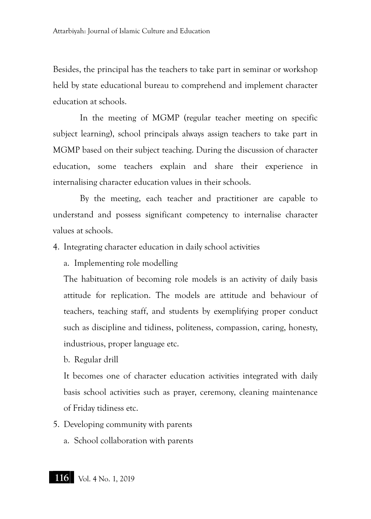Besides, the principal has the teachers to take part in seminar or workshop held by state educational bureau to comprehend and implement character education at schools.

In the meeting of MGMP (regular teacher meeting on specific subject learning), school principals always assign teachers to take part in MGMP based on their subject teaching. During the discussion of character education, some teachers explain and share their experience in internalising character education values in their schools.

By the meeting, each teacher and practitioner are capable to understand and possess significant competency to internalise character values at schools.

4. Integrating character education in daily school activities

a. Implementing role modelling

The habituation of becoming role models is an activity of daily basis attitude for replication. The models are attitude and behaviour of teachers, teaching staff, and students by exemplifying proper conduct such as discipline and tidiness, politeness, compassion, caring, honesty, industrious, proper language etc.

b. Regular drill

It becomes one of character education activities integrated with daily basis school activities such as prayer, ceremony, cleaning maintenance of Friday tidiness etc.

- 5. Developing community with parents
	- a. School collaboration with parents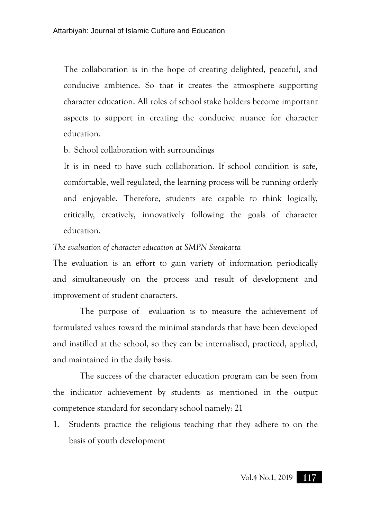The collaboration is in the hope of creating delighted, peaceful, and conducive ambience. So that it creates the atmosphere supporting character education. All roles of school stake holders become important aspects to support in creating the conducive nuance for character education.

b. School collaboration with surroundings

It is in need to have such collaboration. If school condition is safe, comfortable, well regulated, the learning process will be running orderly and enjoyable. Therefore, students are capable to think logically, critically, creatively, innovatively following the goals of character education.

## *The evaluation of character education at SMPN Surakarta*

The evaluation is an effort to gain variety of information periodically and simultaneously on the process and result of development and improvement of student characters.

The purpose of evaluation is to measure the achievement of formulated values toward the minimal standards that have been developed and instilled at the school, so they can be internalised, practiced, applied, and maintained in the daily basis.

The success of the character education program can be seen from the indicator achievement by students as mentioned in the output competence standard for secondary school namely: 21

1. Students practice the religious teaching that they adhere to on the basis of youth development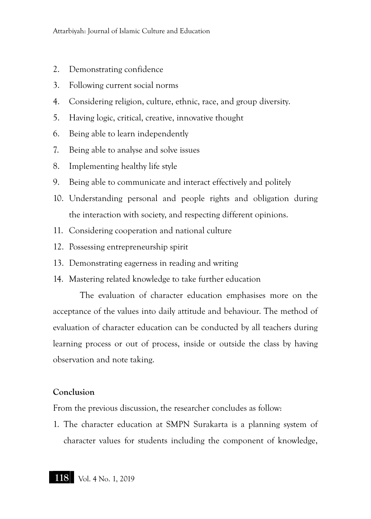- 2. Demonstrating confidence
- 3. Following current social norms
- 4. Considering religion, culture, ethnic, race, and group diversity.
- 5. Having logic, critical, creative, innovative thought
- 6. Being able to learn independently
- 7. Being able to analyse and solve issues
- 8. Implementing healthy life style
- 9. Being able to communicate and interact effectively and politely
- 10. Understanding personal and people rights and obligation during the interaction with society, and respecting different opinions.
- 11. Considering cooperation and national culture
- 12. Possessing entrepreneurship spirit
- 13. Demonstrating eagerness in reading and writing
- 14. Mastering related knowledge to take further education

The evaluation of character education emphasises more on the acceptance of the values into daily attitude and behaviour. The method of evaluation of character education can be conducted by all teachers during learning process or out of process, inside or outside the class by having observation and note taking.

# **Conclusion**

From the previous discussion, the researcher concludes as follow:

1. The character education at SMPN Surakarta is a planning system of character values for students including the component of knowledge,

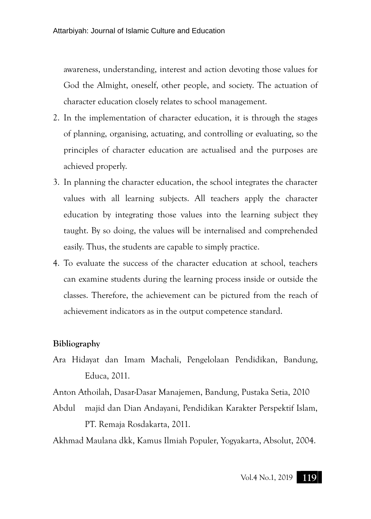awareness, understanding, interest and action devoting those values for God the Almight, oneself, other people, and society. The actuation of character education closely relates to school management.

- 2. In the implementation of character education, it is through the stages of planning, organising, actuating, and controlling or evaluating, so the principles of character education are actualised and the purposes are achieved properly.
- 3. In planning the character education, the school integrates the character values with all learning subjects. All teachers apply the character education by integrating those values into the learning subject they taught. By so doing, the values will be internalised and comprehended easily. Thus, the students are capable to simply practice.
- 4. To evaluate the success of the character education at school, teachers can examine students during the learning process inside or outside the classes. Therefore, the achievement can be pictured from the reach of achievement indicators as in the output competence standard.

## **Bibliography**

- Ara Hidayat dan Imam Machali, Pengelolaan Pendidikan, Bandung, Educa, 2011.
- Anton Athoilah, Dasar-Dasar Manajemen, Bandung, Pustaka Setia, 2010
- Abdul majid dan Dian Andayani, Pendidikan Karakter Perspektif Islam, PT. Remaja Rosdakarta, 2011.

Akhmad Maulana dkk, Kamus Ilmiah Populer, Yogyakarta, Absolut, 2004.